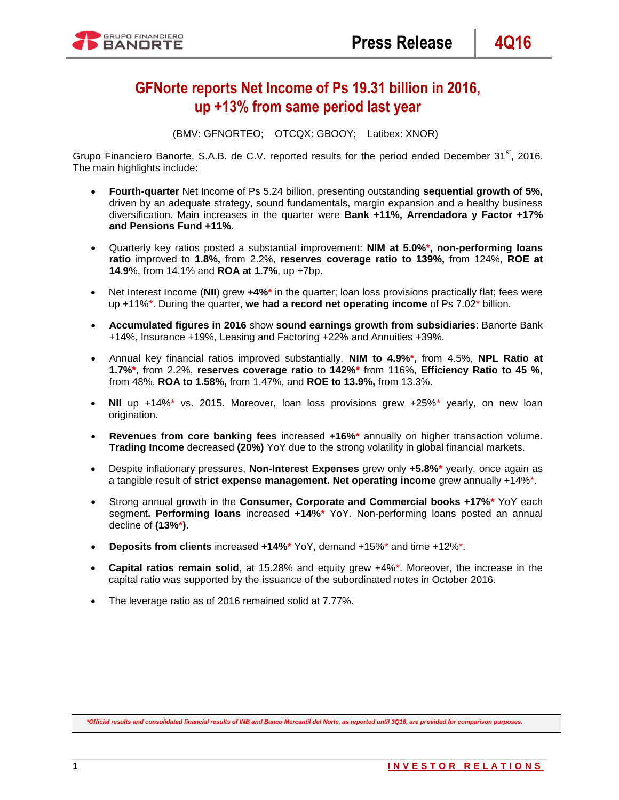# **GFNorte reports Net Income of Ps 19.31 billion in 2016, up +13% from same period last year**

(BMV: GFNORTEO; OTCQX: GBOOY; Latibex: XNOR)

Grupo Financiero Banorte, S.A.B. de C.V. reported results for the period ended December 31<sup>st</sup>. 2016. The main highlights include:

- **Fourth-quarter** Net Income of Ps 5.24 billion, presenting outstanding **sequential growth of 5%,** driven by an adequate strategy, sound fundamentals, margin expansion and a healthy business diversification. Main increases in the quarter were **Bank +11%, Arrendadora y Factor +17% and Pensions Fund +11%**.
- Quarterly key ratios posted a substantial improvement: **NIM at 5.0%\*, non-performing loans ratio** improved to **1.8%,** from 2.2%, **reserves coverage ratio to 139%,** from 124%, **ROE at 14.9**%, from 14.1% and **ROA at 1.7%**, up +7bp.
- Net Interest Income (**NII**) grew **+4%\*** in the quarter; loan loss provisions practically flat; fees were up +11%\*. During the quarter, **we had a record net operating income** of Ps 7.02\* billion.
- **Accumulated figures in 2016** show **sound earnings growth from subsidiaries**: Banorte Bank +14%, Insurance +19%, Leasing and Factoring +22% and Annuities +39%.
- Annual key financial ratios improved substantially. **NIM to 4.9%\*,** from 4.5%, **NPL Ratio at 1.7%\***, from 2.2%, **reserves coverage ratio** to **142%\*** from 116%, **Efficiency Ratio to 45 %,** from 48%, **ROA to 1.58%,** from 1.47%, and **ROE to 13.9%,** from 13.3%.
- NII up +14%<sup>\*</sup> vs. 2015. Moreover, loan loss provisions grew +25%<sup>\*</sup> yearly, on new loan origination.
- **Revenues from core banking fees** increased **+16%\*** annually on higher transaction volume. **Trading Income** decreased **(20%)** YoY due to the strong volatility in global financial markets.
- Despite inflationary pressures, **Non-Interest Expenses** grew only **+5.8%\*** yearly, once again as a tangible result of **strict expense management. Net operating income** grew annually +14%\*.
- Strong annual growth in the **Consumer, Corporate and Commercial books +17%\*** YoY each segment**. Performing loans** increased **+14%\*** YoY. Non-performing loans posted an annual decline of **(13%\*)**.
- **Deposits from clients** increased **+14%\*** YoY, demand +15%\* and time +12%\*.
- **Capital ratios remain solid**, at 15.28% and equity grew +4%\*. Moreover, the increase in the capital ratio was supported by the issuance of the subordinated notes in October 2016.
- The leverage ratio as of 2016 remained solid at 7.77%.

*\*Official results and consolidated financial results of INB and Banco Mercantil del Norte, as reported until 3Q16, are provided for comparison purposes.*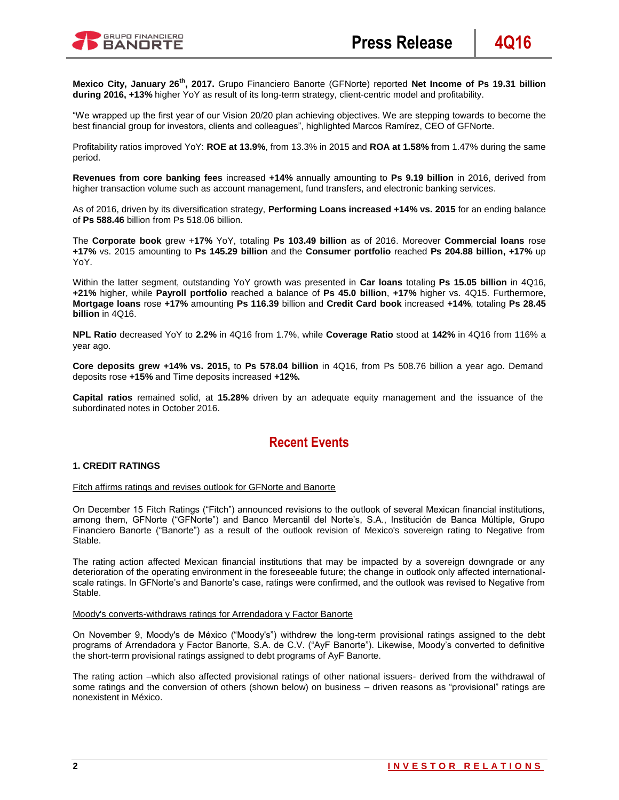

**Mexico City, January 26th, 2017.** Grupo Financiero Banorte (GFNorte) reported **Net Income of Ps 19.31 billion during 2016, +13%** higher YoY as result of its long-term strategy, client-centric model and profitability.

"We wrapped up the first year of our Vision 20/20 plan achieving objectives. We are stepping towards to become the best financial group for investors, clients and colleagues", highlighted Marcos Ramírez, CEO of GFNorte.

Profitability ratios improved YoY: **ROE at 13.9%**, from 13.3% in 2015 and **ROA at 1.58%** from 1.47% during the same period.

**Revenues from core banking fees** increased **+14%** annually amounting to **Ps 9.19 billion** in 2016, derived from higher transaction volume such as account management, fund transfers, and electronic banking services.

As of 2016, driven by its diversification strategy, **Performing Loans increased +14% vs. 2015** for an ending balance of **Ps 588.46** billion from Ps 518.06 billion.

The **Corporate book** grew +**17%** YoY, totaling **Ps 103.49 billion** as of 2016. Moreover **Commercial loans** rose **+17%** vs. 2015 amounting to **Ps 145.29 billion** and the **Consumer portfolio** reached **Ps 204.88 billion, +17%** up YoY.

Within the latter segment, outstanding YoY growth was presented in **Car loans** totaling **Ps 15.05 billion** in 4Q16, **+21%** higher, while **Payroll portfolio** reached a balance of **Ps 45.0 billion**, **+17%** higher vs. 4Q15. Furthermore, **Mortgage loans** rose **+17%** amounting **Ps 116.39** billion and **Credit Card book** increased **+14%**, totaling **Ps 28.45 billion** in 4Q16.

**NPL Ratio** decreased YoY to **2.2%** in 4Q16 from 1.7%, while **Coverage Ratio** stood at **142%** in 4Q16 from 116% a year ago.

**Core deposits grew +14% vs. 2015,** to **Ps 578.04 billion** in 4Q16, from Ps 508.76 billion a year ago. Demand deposits rose **+15%** and Time deposits increased **+12%.**

**Capital ratios** remained solid, at **15.28%** driven by an adequate equity management and the issuance of the subordinated notes in October 2016.

# **Recent Events**

### **1. CREDIT RATINGS**

#### Fitch affirms ratings and revises outlook for GFNorte and Banorte

On December 15 Fitch Ratings ("Fitch") announced revisions to the outlook of several Mexican financial institutions, among them, GFNorte ("GFNorte") and Banco Mercantil del Norte's, S.A., Institución de Banca Múltiple, Grupo Financiero Banorte ("Banorte") as a result of the outlook revision of Mexico's sovereign rating to Negative from Stable.

The rating action affected Mexican financial institutions that may be impacted by a sovereign downgrade or any deterioration of the operating environment in the foreseeable future; the change in outlook only affected internationalscale ratings. In GFNorte's and Banorte's case, ratings were confirmed, and the outlook was revised to Negative from Stable.

#### Moody's converts-withdraws ratings for Arrendadora y Factor Banorte

On November 9, Moody's de México ("Moody's") withdrew the long-term provisional ratings assigned to the debt programs of Arrendadora y Factor Banorte, S.A. de C.V. ("AyF Banorte"). Likewise, Moody's converted to definitive the short-term provisional ratings assigned to debt programs of AyF Banorte.

The rating action –which also affected provisional ratings of other national issuers- derived from the withdrawal of some ratings and the conversion of others (shown below) on business – driven reasons as "provisional" ratings are nonexistent in México.